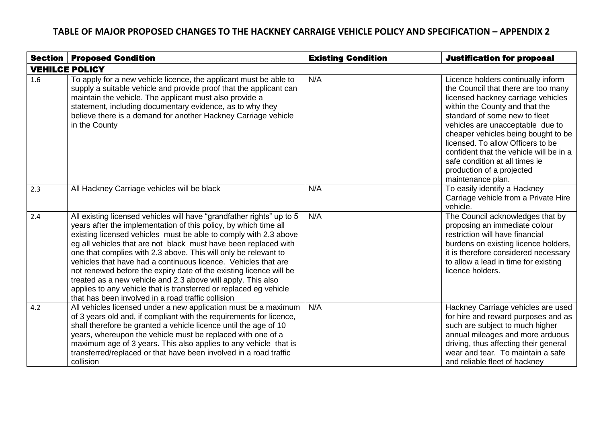| Section               | <b>Proposed Condition</b>                                                                                                                                                                                                                                                                                                                                                                                                                                                                                                                                                                                                                                                              | <b>Existing Condition</b> | <b>Justification for proposal</b>                                                                                                                                                                                                                                                                                                                                                                                                 |  |
|-----------------------|----------------------------------------------------------------------------------------------------------------------------------------------------------------------------------------------------------------------------------------------------------------------------------------------------------------------------------------------------------------------------------------------------------------------------------------------------------------------------------------------------------------------------------------------------------------------------------------------------------------------------------------------------------------------------------------|---------------------------|-----------------------------------------------------------------------------------------------------------------------------------------------------------------------------------------------------------------------------------------------------------------------------------------------------------------------------------------------------------------------------------------------------------------------------------|--|
| <b>VEHILCE POLICY</b> |                                                                                                                                                                                                                                                                                                                                                                                                                                                                                                                                                                                                                                                                                        |                           |                                                                                                                                                                                                                                                                                                                                                                                                                                   |  |
| 1.6                   | To apply for a new vehicle licence, the applicant must be able to<br>supply a suitable vehicle and provide proof that the applicant can<br>maintain the vehicle. The applicant must also provide a<br>statement, including documentary evidence, as to why they<br>believe there is a demand for another Hackney Carriage vehicle<br>in the County                                                                                                                                                                                                                                                                                                                                     | N/A                       | Licence holders continually inform<br>the Council that there are too many<br>licensed hackney carriage vehicles<br>within the County and that the<br>standard of some new to fleet<br>vehicles are unacceptable due to<br>cheaper vehicles being bought to be<br>licensed. To allow Officers to be<br>confident that the vehicle will be in a<br>safe condition at all times ie<br>production of a projected<br>maintenance plan. |  |
| 2.3                   | All Hackney Carriage vehicles will be black                                                                                                                                                                                                                                                                                                                                                                                                                                                                                                                                                                                                                                            | N/A                       | To easily identify a Hackney<br>Carriage vehicle from a Private Hire<br>vehicle.                                                                                                                                                                                                                                                                                                                                                  |  |
| 2.4                   | All existing licensed vehicles will have "grandfather rights" up to 5<br>years after the implementation of this policy, by which time all<br>existing licensed vehicles must be able to comply with 2.3 above<br>eg all vehicles that are not black must have been replaced with<br>one that complies with 2.3 above. This will only be relevant to<br>vehicles that have had a continuous licence. Vehicles that are<br>not renewed before the expiry date of the existing licence will be<br>treated as a new vehicle and 2.3 above will apply. This also<br>applies to any vehicle that is transferred or replaced eg vehicle<br>that has been involved in a road traffic collision | N/A                       | The Council acknowledges that by<br>proposing an immediate colour<br>restriction will have financial<br>burdens on existing licence holders,<br>it is therefore considered necessary<br>to allow a lead in time for existing<br>licence holders.                                                                                                                                                                                  |  |
| 4.2                   | All vehicles licensed under a new application must be a maximum<br>of 3 years old and, if compliant with the requirements for licence,<br>shall therefore be granted a vehicle licence until the age of 10<br>years, whereupon the vehicle must be replaced with one of a<br>maximum age of 3 years. This also applies to any vehicle that is<br>transferred/replaced or that have been involved in a road traffic<br>collision                                                                                                                                                                                                                                                        | N/A                       | Hackney Carriage vehicles are used<br>for hire and reward purposes and as<br>such are subject to much higher<br>annual mileages and more arduous<br>driving, thus affecting their general<br>wear and tear. To maintain a safe<br>and reliable fleet of hackney                                                                                                                                                                   |  |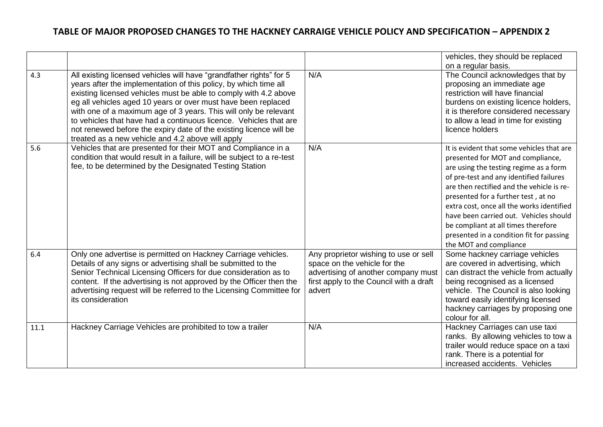|      |                                                                                                                                                                                                                                                                                                                                                                                                                                                                                                                                                  |                                                                                                                                                                   | vehicles, they should be replaced<br>on a regular basis.                                                                                                                                                                                                                                                                                                                                                                                                    |
|------|--------------------------------------------------------------------------------------------------------------------------------------------------------------------------------------------------------------------------------------------------------------------------------------------------------------------------------------------------------------------------------------------------------------------------------------------------------------------------------------------------------------------------------------------------|-------------------------------------------------------------------------------------------------------------------------------------------------------------------|-------------------------------------------------------------------------------------------------------------------------------------------------------------------------------------------------------------------------------------------------------------------------------------------------------------------------------------------------------------------------------------------------------------------------------------------------------------|
| 4.3  | All existing licensed vehicles will have "grandfather rights" for 5<br>years after the implementation of this policy, by which time all<br>existing licensed vehicles must be able to comply with 4.2 above<br>eg all vehicles aged 10 years or over must have been replaced<br>with one of a maximum age of 3 years. This will only be relevant<br>to vehicles that have had a continuous licence. Vehicles that are<br>not renewed before the expiry date of the existing licence will be<br>treated as a new vehicle and 4.2 above will apply | N/A                                                                                                                                                               | The Council acknowledges that by<br>proposing an immediate age<br>restriction will have financial<br>burdens on existing licence holders,<br>it is therefore considered necessary<br>to allow a lead in time for existing<br>licence holders                                                                                                                                                                                                                |
| 5.6  | Vehicles that are presented for their MOT and Compliance in a<br>condition that would result in a failure, will be subject to a re-test<br>fee, to be determined by the Designated Testing Station                                                                                                                                                                                                                                                                                                                                               | N/A                                                                                                                                                               | It is evident that some vehicles that are<br>presented for MOT and compliance,<br>are using the testing regime as a form<br>of pre-test and any identified failures<br>are then rectified and the vehicle is re-<br>presented for a further test, at no<br>extra cost, once all the works identified<br>have been carried out. Vehicles should<br>be compliant at all times therefore<br>presented in a condition fit for passing<br>the MOT and compliance |
| 6.4  | Only one advertise is permitted on Hackney Carriage vehicles.<br>Details of any signs or advertising shall be submitted to the<br>Senior Technical Licensing Officers for due consideration as to<br>content. If the advertising is not approved by the Officer then the<br>advertising request will be referred to the Licensing Committee for<br>its consideration                                                                                                                                                                             | Any proprietor wishing to use or sell<br>space on the vehicle for the<br>advertising of another company must<br>first apply to the Council with a draft<br>advert | Some hackney carriage vehicles<br>are covered in advertising, which<br>can distract the vehicle from actually<br>being recognised as a licensed<br>vehicle. The Council is also looking<br>toward easily identifying licensed<br>hackney carriages by proposing one<br>colour for all.                                                                                                                                                                      |
| 11.1 | Hackney Carriage Vehicles are prohibited to tow a trailer                                                                                                                                                                                                                                                                                                                                                                                                                                                                                        | N/A                                                                                                                                                               | Hackney Carriages can use taxi<br>ranks. By allowing vehicles to tow a<br>trailer would reduce space on a taxi<br>rank. There is a potential for<br>increased accidents. Vehicles                                                                                                                                                                                                                                                                           |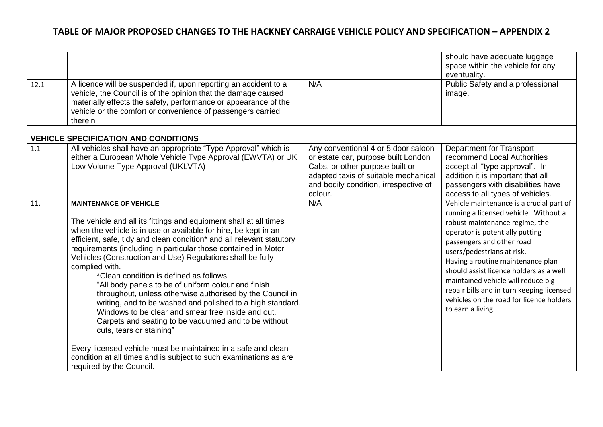| 12.1 | A licence will be suspended if, upon reporting an accident to a<br>vehicle, the Council is of the opinion that the damage caused<br>materially effects the safety, performance or appearance of the<br>vehicle or the comfort or convenience of passengers carried<br>therein                                                                                                                                                                                                                                                                                                                                                                                                                                                                                                                                                                                                                                                             | N/A                                                                                                                                                                                                       | should have adequate luggage<br>space within the vehicle for any<br>eventuality.<br>Public Safety and a professional<br>image.                                                                                                                                                                                                                                                                                                                       |
|------|-------------------------------------------------------------------------------------------------------------------------------------------------------------------------------------------------------------------------------------------------------------------------------------------------------------------------------------------------------------------------------------------------------------------------------------------------------------------------------------------------------------------------------------------------------------------------------------------------------------------------------------------------------------------------------------------------------------------------------------------------------------------------------------------------------------------------------------------------------------------------------------------------------------------------------------------|-----------------------------------------------------------------------------------------------------------------------------------------------------------------------------------------------------------|------------------------------------------------------------------------------------------------------------------------------------------------------------------------------------------------------------------------------------------------------------------------------------------------------------------------------------------------------------------------------------------------------------------------------------------------------|
|      | <b>VEHICLE SPECIFICATION AND CONDITIONS</b>                                                                                                                                                                                                                                                                                                                                                                                                                                                                                                                                                                                                                                                                                                                                                                                                                                                                                               |                                                                                                                                                                                                           |                                                                                                                                                                                                                                                                                                                                                                                                                                                      |
| 1.1  | All vehicles shall have an appropriate "Type Approval" which is<br>either a European Whole Vehicle Type Approval (EWVTA) or UK<br>Low Volume Type Approval (UKLVTA)                                                                                                                                                                                                                                                                                                                                                                                                                                                                                                                                                                                                                                                                                                                                                                       | Any conventional 4 or 5 door saloon<br>or estate car, purpose built London<br>Cabs, or other purpose built or<br>adapted taxis of suitable mechanical<br>and bodily condition, irrespective of<br>colour. | <b>Department for Transport</b><br>recommend Local Authorities<br>accept all "type approval". In<br>addition it is important that all<br>passengers with disabilities have<br>access to all types of vehicles.                                                                                                                                                                                                                                       |
| 11.  | <b>MAINTENANCE OF VEHICLE</b><br>The vehicle and all its fittings and equipment shall at all times<br>when the vehicle is in use or available for hire, be kept in an<br>efficient, safe, tidy and clean condition* and all relevant statutory<br>requirements (including in particular those contained in Motor<br>Vehicles (Construction and Use) Regulations shall be fully<br>complied with.<br>*Clean condition is defined as follows:<br>"All body panels to be of uniform colour and finish<br>throughout, unless otherwise authorised by the Council in<br>writing, and to be washed and polished to a high standard.<br>Windows to be clear and smear free inside and out.<br>Carpets and seating to be vacuumed and to be without<br>cuts, tears or staining"<br>Every licensed vehicle must be maintained in a safe and clean<br>condition at all times and is subject to such examinations as are<br>required by the Council. | N/A                                                                                                                                                                                                       | Vehicle maintenance is a crucial part of<br>running a licensed vehicle. Without a<br>robust maintenance regime, the<br>operator is potentially putting<br>passengers and other road<br>users/pedestrians at risk.<br>Having a routine maintenance plan<br>should assist licence holders as a well<br>maintained vehicle will reduce big<br>repair bills and in turn keeping licensed<br>vehicles on the road for licence holders<br>to earn a living |